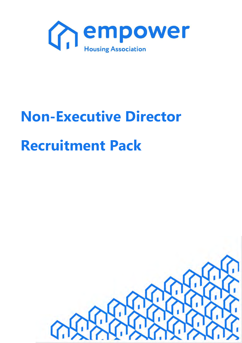

# **Non-Executive Director Recruitment Pack**

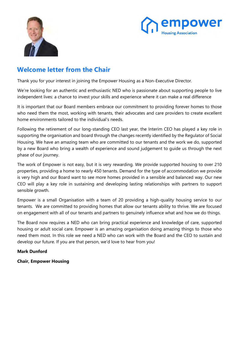



### **Welcome letter from the Chair**

Thank you for your interest in joining the Empower Housing as a Non-Executive Director.

We're looking for an authentic and enthusiastic NED who is passionate about supporting people to live independent lives: a chance to invest your skills and experience where it can make a real difference

It is important that our Board members embrace our commitment to providing forever homes to those who need them the most, working with tenants, their advocates and care providers to create excellent home environments tailored to the individual's needs.

Following the retirement of our long-standing CEO last year, the Interim CEO has played a key role in supporting the organisation and board through the changes recently identified by the Regulator of Social Housing. We have an amazing team who are committed to our tenants and the work we do, supported by a new Board who bring a wealth of experience and sound judgement to guide us through the next phase of our journey.

The work of Empower is not easy, but it is very rewarding. We provide supported housing to over 210 properties, providing a home to nearly 450 tenants. Demand for the type of accommodation we provide is very high and our Board want to see more homes provided in a sensible and balanced way. Our new CEO will play a key role in sustaining and developing lasting relationships with partners to support sensible growth.

Empower is a small Organisation with a team of 20 providing a high-quality housing service to our tenants. We are committed to providing homes that allow our tenants ability to thrive. We are focused on engagement with all of our tenants and partners to genuinely influence what and how we do things.

The Board now requires a NED who can bring practical experience and knowledge of care, supported housing or adult social care. Empower is an amazing organisation doing amazing things to those who need them most. In this role we need a NED who can work with the Board and the CEO to sustain and develop our future. If you are that person, we'd love to hear from you!

### **Mark Dunford**

**Chair, Empower Housing**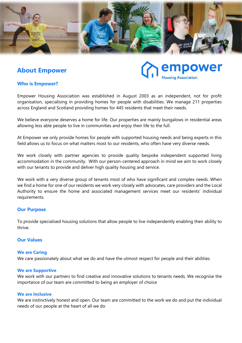

### **About Empower**

power

### **Who is Empower?**

Empower Housing Association was established in August 2003 as an independent, not for profit organisation, specialising in providing homes for people with disabilities. We manage 211 properties across England and Scotland providing homes for 445 residents that meet their needs.

We believe everyone deserves a home for life. Our properties are mainly bungalows in residential areas allowing less able people to live in communities and enjoy their life to the full.

At Empower we only provide homes for people with supported housing needs and being experts in this field allows us to focus on what matters most to our residents, who often have very diverse needs.

We work closely with partner agencies to provide quality bespoke independent supported living accommodation in the community. With our person-centered approach in mind we aim to work closely with our tenants to provide and deliver high quality housing and service.

We work with a very diverse group of tenants most of who have significant and complex needs. When we find a home for one of our residents we work very closely with advocates, care providers and the Local Authority to ensure the home and associated management services meet our residents' individual requirements.

#### **Our Purpose**

To provide specialised housing solutions that allow people to live independently enabling their ability to thrive.

### **Our Values**

#### **We are Caring**

We care passionately about what we do and have the utmost respect for people and their abilities

#### **We are Supportive**

We work with our partners to find creative and innovative solutions to tenants needs. We recognise the importance of our team are committed to being an employer of choice

#### **We are Inclusive**

We are instinctively honest and open. Our team are committed to the work we do and put the individual needs of our people at the heart of all we do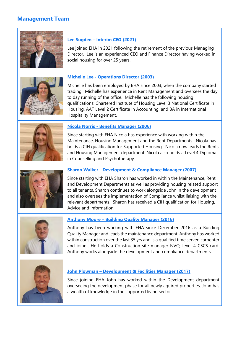### **Management Team**



### **Lee Sugden – Interim CEO (2021)**

Lee joined EHA in 2021 following the retirement of the previous Managing Director. Lee is an experienced CEO and Finance Director having worked in social housing for over 25 years.



### **Michelle Lee - Operations Director (2003)**

Michelle has been employed by EHA since 2003, when the company started trading. Michelle has experience in Rent Management and oversees the day to day running of the office. Michelle has the following housing qualifications: Chartered Institute of Housing Level 3 National Certificate in Housing, AAT Level 2 Certificate in Accounting, and BA in International Hospitality Management.



### **Nicola Norris - Benefits Manager (2006)**

Since starting with EHA Nicola has experience with working within the Maintenance, Housing Management and the Rent Departments. Nicola has holds a CIH qualification for Supported Housing. Nicola now leads the Rents and Housing Management department. Nicola also holds a Level 4 Diploma in Counselling and Psychotherapy.



### **Sharon Walker - Development & Compliance Manager (2007)**

Since starting with EHA Sharon has worked in within the Maintenance, Rent and Development Departments as well as providing housing related support to all tenants. Sharon continues to work alongside John in the development and also oversees the implementation of Compliance whilst liaising with the relevant departments. Sharon has received a CIH qualification for Housing, Advice and Information.



### **Anthony Moore** – **Building Quality Manager (2016)**

Anthony has been working with EHA since December 2016 as a Building Quality Manager and leads the maintenance department. Anthony has worked within construction over the last 35 yrs and is a qualified time served carpenter and joiner. He holds a Construction site manager NVQ Level 4 CSCS card. Anthony works alongside the development and compliance departments.



#### **John Plowman** – **Development & Facilities Manager (2017)**

Since joining EHA John has worked within the Development department overseeing the development phase for all newly aquired properties. John has a wealth of knowledge in the supported living sector.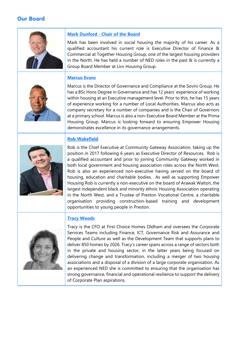### **Our Board**



### **Mark Dunford - Chair of the Board**

Mark has been involved in social housing the majority of his career. As a qualified accountant his current role is Executive Director of Finance & Commercial at Together Housing Group, one of the largest housing providers in the North. He has held a number of NED roles in the past & is currently a Group Board Member at Livv Housing Group.

### **Marcus Evans**



Marcus is the Director of Governance and Compliance at the Sovini Group. He has a BSc Hons Degree in Governance and has 12 years' experience of working within housing at an Executive management level. Prior to this, he has 15 years of experience working for a number of Local Authorities. Marcus also acts as company secretary for a number of companies and is the Chair of Governors at a primary school. Marcus is also a non-Executive Board Member at the Prima Housing Group. Marcus is looking forward to ensuring Empower Housing demonstrates excellence in its governance arrangements.

### **Rob Wakefield**



Rob is the Chief Executive at Community Gateway Association, taking up the position in 2017 following 6 years as Executive Director of Resources. Rob is a qualified accountant and prior to joining Community Gateway worked in both local government and housing association roles across the North West. Rob is also an experienced non-executive having served on the board of housing, education and charitable bodies. As well as supporting Empower Housing Rob is currently a non-executive on the board of Arawak Walton, the largest independent black and minority ethnic Housing Association operating in the North West, and a Trustee of Preston Vocational Centre, a charitable organisation providing construction-based training and development opportunities to young people in Preston.

### **Tracy Woods**



Tracy is the CFO at First Choice Homes Oldham and oversees the Corporate Services Teams including Finance, ICT, Governance Risk and Assurance and People and Culture as well as the Development Team that supports plans to deliver 850 homes by 2026. Tracy's career spans across a range of sectors both in the private and housing sector, in the latter years being focused on delivering change and transformation, including a merger of two housing associations and a disposal of a division of a large corporate organisation. As an experienced NED she is committed to ensuring that the organisation has strong governance, financial and operational resilience to support the delivery of Corporate Plan aspirations.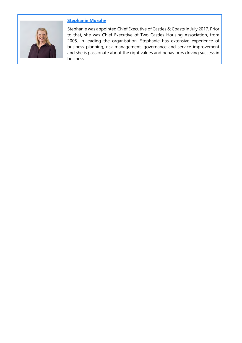

### **Stephanie Murphy**

Stephanie was appointed Chief Executive of Castles & Coasts in July 2017. Prior to that, she was Chief Executive of Two Castles Housing Association, from 2005. In leading the organisation, Stephanie has extensive experience of business planning, risk management, governance and service improvement and she is passionate about the right values and behaviours driving success in business.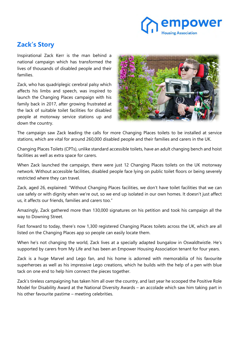### mpower **Iousing Association**

### **Zack's Story**

Inspirational Zack Kerr is the man behind a national campaign which has transformed the lives of thousands of disabled people and their families.

Zack, who has quadriplegic cerebral palsy which affects his limbs and speech, was inspired to launch the Changing Places campaign with his family back in 2017, after growing frustrated at the lack of suitable toilet facilities for disabled people at motorway service stations up and down the country.



The campaign saw Zack leading the calls for more Changing Places toilets to be installed at service stations, which are vital for around 260,000 disabled people and their families and carers in the UK.

Changing Places Toilets (CPTs), unlike standard accessible toilets, have an adult changing bench and hoist facilities as well as extra space for carers.

When Zack launched the campaign, there were just 12 Changing Places toilets on the UK motorway network. Without accessible facilities, disabled people face lying on public toilet floors or being severely restricted where they can travel.

Zack, aged 26, explained: "Without Changing Places facilities, we don't have toilet facilities that we can use safely or with dignity when we're out, so we end up isolated in our own homes. It doesn't just affect us, it affects our friends, families and carers too."

Amazingly, Zack gathered more than 130,000 signatures on his petition and took his campaign all the way to Downing Street.

Fast forward to today, there's now 1,300 registered Changing Places toilets across the UK, which are all listed on the Changing Places app so people can easily locate them.

When he's not changing the world, Zack lives at a specially adapted bungalow in Oswaldtwistle. He's supported by carers from My Life and has been an Empower Housing Association tenant for four years.

Zack is a huge Marvel and Lego fan, and his home is adorned with memorabilia of his favourite superheroes as well as his impressive Lego creations, which he builds with the help of a pen with blue tack on one end to help him connect the pieces together.

Zack's tireless campaigning has taken him all over the country, and last year he scooped the Positive Role Model for Disability Award at the National Diversity Awards – an accolade which saw him taking part in his other favourite pastime – meeting celebrities.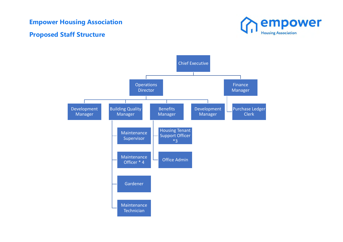### **Empower Housing Association**

### **Proposed Staff Structure**



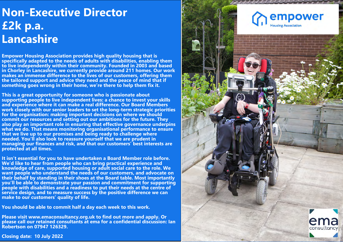## **Non-Executive Director £2k p.a. Lancashire**

**Empower Housing Association provides high quality housing that is specifically adapted to the needs of adults with disabilities, enabling them to live independently within their community. Founded in 2003 and [based](www.emaconsultancy.org.uk)  in Chorley in Lancashire, we currently provide around 211 homes. Our work makes an immense difference to the lives of our customers, offering them the tailored support and advice they need and the peace of mind that if something goes wrong in their home, we're there to help them fix it.**

**This is a great opportunity for someone who is passionate about supporting people to live independent lives: a chance to invest your skills and experience where it can make a real difference. Our Board Members work closely with our senior leaders to set the long-term strategic priorities for the organisation: making important decisions on where we should commit our resources and setting out our ambitions for the future. They also play an important role in ensuring that effective governance underpins what we do. That means monitoring organisational performance to ensure that we live up to our promises and being ready to challenge where needed. You'll also look to reassure yourself that we are prudent in managing our finances and risk, and that our customers' best interests are protected at all times.**

**It isn't essential for you to have undertaken a Board Member role before. We'd like to hear from people who can bring practical experience and knowledge of care, supported housing or adult social care to the role. We want people who understand the needs of our customers, and advocate on their behalf by standing in their shoes at the Board table. Most importantly you'll be able to demonstrate your passion and commitment for supporting people with disabilities and a readiness to put their needs at the centre of service design, and to measure success by the positive difference we can make to our customers' quality of life.** 

**You should be able to commit half a day each week to this work.**

**Please visit <www.emaconsultancy.org.uk>to find out more and apply. Or please call our retained consultants at ema for a confidential discussion: Ian Robertson on 07947 126329.**



**Closing date: 10 July 2022**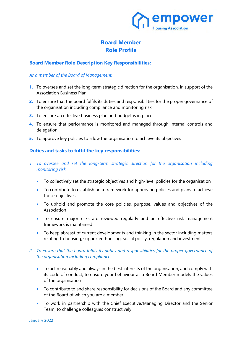

### **Board Member Role Profile**

### **Board Member Role Description Key Responsibilities:**

### *As a member of the Board of Management:*

- **1.** To oversee and set the long-term strategic direction for the organisation, in support of the Association Business Plan
- **2.** To ensure that the board fulfils its duties and responsibilities for the proper governance of the organisation including compliance and monitoring risk
- **3.** To ensure an effective business plan and budget is in place
- **4.** To ensure that performance is monitored and managed through internal controls and delegation
- **5.** To approve key policies to allow the organisation to achieve its objectives

### **Duties and tasks to fulfil the key responsibilities:**

- 1. To oversee and set the long-term strategic direction for the organisation including *monitoring risk* 
	- To collectively set the strategic objectives and high-level policies for the organisation
	- To contribute to establishing a framework for approving policies and plans to achieve those objectives
	- To uphold and promote the core policies, purpose, values and objectives of the Association
	- To ensure major risks are reviewed regularly and an effective risk management framework is maintained
	- To keep abreast of current developments and thinking in the sector including matters relating to housing, supported housing, social policy, regulation and investment

### *2. To ensure that the board fulfils its duties and responsibilities for the proper governance of the organisation including compliance*

- To act reasonably and always in the best interests of the organisation, and comply with its code of conduct; to ensure your behaviour as a Board Member models the values of the organisation
- To contribute to and share responsibility for decisions of the Board and any committee of the Board of which you are a member
- To work in partnership with the Chief Executive/Managing Director and the Senior Team; to challenge colleagues constructively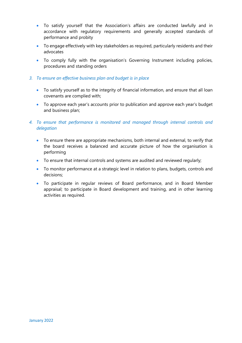- To satisfy yourself that the Association's affairs are conducted lawfully and in accordance with regulatory requirements and generally accepted standards of performance and probity
- To engage effectively with key stakeholders as required, particularly residents and their advocates
- To comply fully with the organisation's Governing Instrument including policies, procedures and standing orders
- *3. To ensure an effective business plan and budget is in place* 
	- To satisfy yourself as to the integrity of financial information, and ensure that all loan covenants are complied with;
	- To approve each year's accounts prior to publication and approve each year's budget and business plan;
- *4. To ensure that performance is monitored and managed through internal controls and delegation* 
	- To ensure there are appropriate mechanisms, both internal and external, to verify that the board receives a balanced and accurate picture of how the organisation is performing
	- To ensure that internal controls and systems are audited and reviewed regularly;
	- To monitor performance at a strategic level in relation to plans, budgets, controls and decisions;
	- To participate in regular reviews of Board performance, and in Board Member appraisal; to participate in Board development and training, and in other learning activities as required.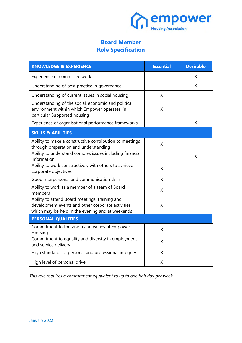

### **Board Member Role Specification**

| <b>KNOWLEDGE &amp; EXPERIENCE</b>                                                                                                                       | <b>Essential</b> | <b>Desirable</b> |
|---------------------------------------------------------------------------------------------------------------------------------------------------------|------------------|------------------|
| Experience of committee work                                                                                                                            |                  | X                |
| Understanding of best practice in governance                                                                                                            |                  | X                |
| Understanding of current issues in social housing                                                                                                       | X                |                  |
| Understanding of the social, economic and political<br>environment within which Empower operates, in<br>particular Supported housing                    | X                |                  |
| Experience of organisational performance frameworks                                                                                                     |                  | Χ                |
| <b>SKILLS &amp; ABILITIES</b>                                                                                                                           |                  |                  |
| Ability to make a constructive contribution to meetings<br>through preparation and understanding                                                        | Χ                |                  |
| Ability to understand complex issues including financial<br>information                                                                                 |                  | X                |
| Ability to work constructively with others to achieve<br>corporate objectives                                                                           | X                |                  |
| Good interpersonal and communication skills                                                                                                             | X                |                  |
| Ability to work as a member of a team of Board<br>members                                                                                               | X                |                  |
| Ability to attend Board meetings, training and<br>development events and other corporate activities<br>which may be held in the evening and at weekends | Χ                |                  |
| <b>PERSONAL QUALITIES</b>                                                                                                                               |                  |                  |
| Commitment to the vision and values of Empower<br>Housing                                                                                               | X                |                  |
| Commitment to equality and diversity in employment<br>and service delivery                                                                              | X                |                  |
| High standards of personal and professional integrity                                                                                                   | X                |                  |
| High level of personal drive                                                                                                                            | X                |                  |

*This role requires a commitment equivalent to up to one half day per week*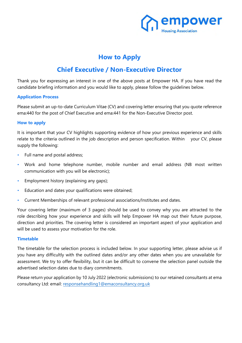

### **How to Apply**

### **Chief Executive / Non-Executive Director**

Thank you for expressing an interest in one of the above posts at Empower HA. If you have read the candidate briefing information and you would like to apply, please follow the guidelines below.

### **Application Process**

Please submit an up-to-date Curriculum Vitae (CV) and covering letter ensuring that you quote reference ema:440 for the post of Chief Executive and ema:441 for the Non-Executive Director post.

### **How to apply**

It is important that your CV highlights supporting evidence of how your previous experience and skills relate to the criteria outlined in the job description and person specification. Within your CV, please supply the following:

- Full name and postal address;
- Work and home telephone number, mobile number and email address (NB most written communication with you will be electronic);
- Employment history (explaining any gaps);
- Education and dates your qualifications were obtained;
- Current Memberships of relevant professional associations/Institutes and dates.

Your covering letter (maximum of 3 pages) should be used to convey why you are attracted to the role describing how your experience and skills will help Empower HA map out their future purpose, direction and priorities. The covering letter is considered an important aspect of your application and will be used to assess your motivation for the role.

#### **Timetable**

The timetable for the selection process is included below. In your supporting letter, please advise us if you have any difficultly with the outlined dates and/or any other dates when you are unavailable for assessment. We try to offer flexibility, but it can be difficult to convene the selection panel outside the advertised selection dates due to diary commitments.

Please return your application by 10 July 2022 (electronic submissions) to our retained consultants at ema consultancy Ltd: email: [responsehandling1@emaconsultancy.org.uk](mailto:responsehandling1@emaconsultancy.org.uk)